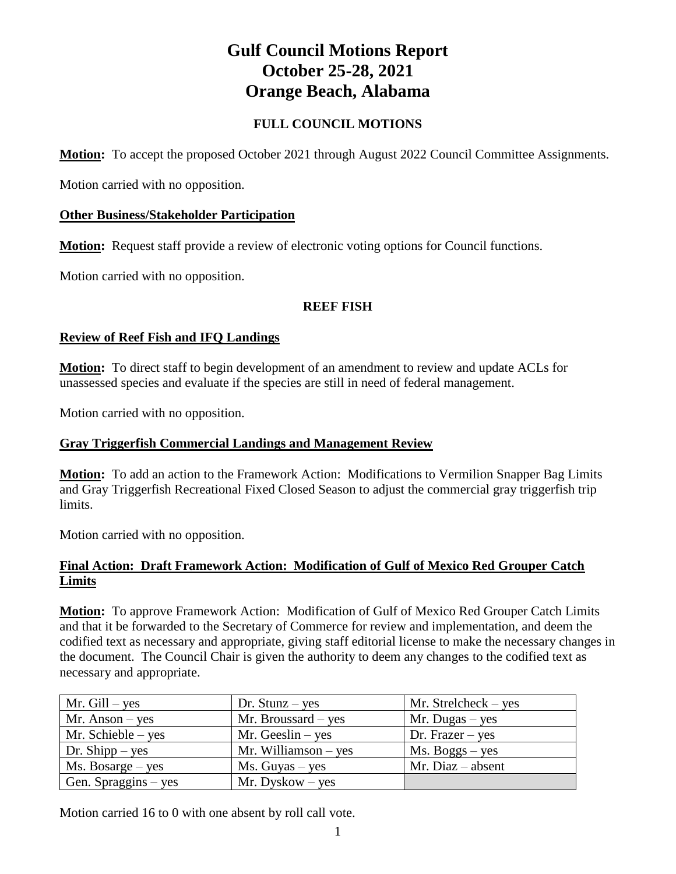# **Gulf Council Motions Report October 25-28, 2021 Orange Beach, Alabama**

# **FULL COUNCIL MOTIONS**

**Motion:** To accept the proposed October 2021 through August 2022 Council Committee Assignments.

Motion carried with no opposition.

# **Other Business/Stakeholder Participation**

**Motion:** Request staff provide a review of electronic voting options for Council functions.

Motion carried with no opposition.

# **REEF FISH**

# **Review of Reef Fish and IFQ Landings**

**Motion:** To direct staff to begin development of an amendment to review and update ACLs for unassessed species and evaluate if the species are still in need of federal management.

Motion carried with no opposition.

# **Gray Triggerfish Commercial Landings and Management Review**

**Motion:** To add an action to the Framework Action: Modifications to Vermilion Snapper Bag Limits and Gray Triggerfish Recreational Fixed Closed Season to adjust the commercial gray triggerfish trip limits.

Motion carried with no opposition.

# **Final Action: Draft Framework Action: Modification of Gulf of Mexico Red Grouper Catch Limits**

**Motion:** To approve Framework Action: Modification of Gulf of Mexico Red Grouper Catch Limits and that it be forwarded to the Secretary of Commerce for review and implementation, and deem the codified text as necessary and appropriate, giving staff editorial license to make the necessary changes in the document. The Council Chair is given the authority to deem any changes to the codified text as necessary and appropriate.

| Mr. $Gill - yes$                     | Dr. Stunz $-$ yes      | Mr. Strelcheck $-$ yes |
|--------------------------------------|------------------------|------------------------|
| $Mr.$ Anson – yes                    | Mr. Broussard $-$ yes  | $Mr. Dugas - yes$      |
| Mr. Schieble $-$ yes                 | Mr. Geeslin $-$ yes    | Dr. Frazer $-$ yes     |
| Dr. Shipp $-$ yes                    | Mr. Williamson $-$ yes | $Ms. Boggs - yes$      |
| $Ms. \, \text{Bosarge} - \text{yes}$ | $Ms. Guyas - yes$      | Mr. Diaz $-$ absent    |
| Gen. Spraggins $-$ yes               | $Mr. Dyskow - yes$     |                        |

Motion carried 16 to 0 with one absent by roll call vote.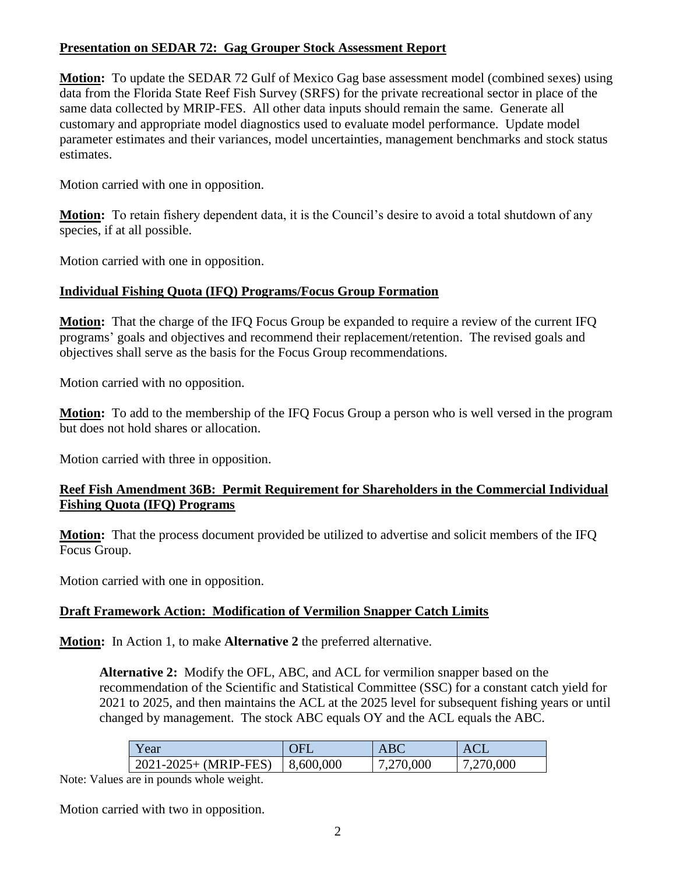# **Presentation on SEDAR 72: Gag Grouper Stock Assessment Report**

**Motion:** To update the SEDAR 72 Gulf of Mexico Gag base assessment model (combined sexes) using data from the Florida State Reef Fish Survey (SRFS) for the private recreational sector in place of the same data collected by MRIP-FES. All other data inputs should remain the same. Generate all customary and appropriate model diagnostics used to evaluate model performance. Update model parameter estimates and their variances, model uncertainties, management benchmarks and stock status estimates.

Motion carried with one in opposition.

**Motion:** To retain fishery dependent data, it is the Council's desire to avoid a total shutdown of any species, if at all possible.

Motion carried with one in opposition.

# **Individual Fishing Quota (IFQ) Programs/Focus Group Formation**

**Motion:** That the charge of the IFQ Focus Group be expanded to require a review of the current IFQ programs' goals and objectives and recommend their replacement/retention. The revised goals and objectives shall serve as the basis for the Focus Group recommendations.

Motion carried with no opposition.

**Motion:** To add to the membership of the IFQ Focus Group a person who is well versed in the program but does not hold shares or allocation.

Motion carried with three in opposition.

# **Reef Fish Amendment 36B: Permit Requirement for Shareholders in the Commercial Individual Fishing Quota (IFQ) Programs**

**Motion:** That the process document provided be utilized to advertise and solicit members of the IFQ Focus Group.

Motion carried with one in opposition.

# **Draft Framework Action: Modification of Vermilion Snapper Catch Limits**

**Motion:** In Action 1, to make **Alternative 2** the preferred alternative.

**Alternative 2:** Modify the OFL, ABC, and ACL for vermilion snapper based on the recommendation of the Scientific and Statistical Committee (SSC) for a constant catch yield for 2021 to 2025, and then maintains the ACL at the 2025 level for subsequent fishing years or until changed by management. The stock ABC equals OY and the ACL equals the ABC.

| Y ear                        | ЛE        | <b>ABC</b> | AC        |
|------------------------------|-----------|------------|-----------|
| $2021 - 2025 + (MRIP - FES)$ | 8,600,000 | 7,270,000  | 7,270,000 |

Note: Values are in pounds whole weight.

Motion carried with two in opposition.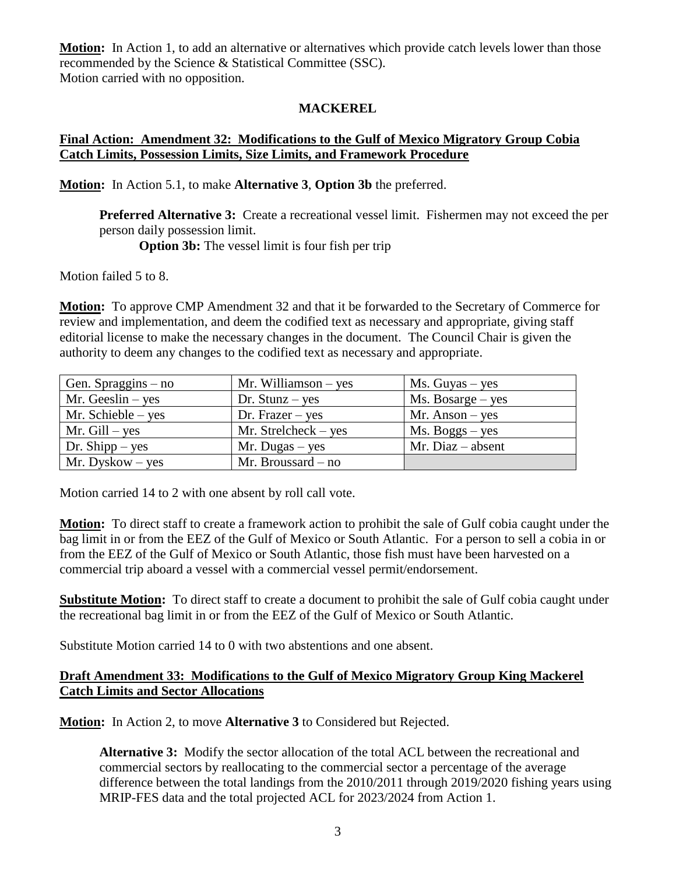**Motion:** In Action 1, to add an alternative or alternatives which provide catch levels lower than those recommended by the Science & Statistical Committee (SSC). Motion carried with no opposition.

#### **MACKEREL**

# **Final Action: Amendment 32: Modifications to the Gulf of Mexico Migratory Group Cobia Catch Limits, Possession Limits, Size Limits, and Framework Procedure**

**Motion:** In Action 5.1, to make **Alternative 3**, **Option 3b** the preferred.

**Preferred Alternative 3:** Create a recreational vessel limit. Fishermen may not exceed the per person daily possession limit.

**Option 3b:** The vessel limit is four fish per trip

Motion failed 5 to 8.

**Motion:** To approve CMP Amendment 32 and that it be forwarded to the Secretary of Commerce for review and implementation, and deem the codified text as necessary and appropriate, giving staff editorial license to make the necessary changes in the document. The Council Chair is given the authority to deem any changes to the codified text as necessary and appropriate.

| Gen. Spraggins $-$ no | Mr. Williamson $-$ yes | $Ms. Guyas - yes$                    |
|-----------------------|------------------------|--------------------------------------|
| $Mr. Geeslin - yes$   | Dr. Stunz $-$ yes      | $Ms. \, \text{Bosarge} - \text{yes}$ |
| Mr. Schieble $-$ yes  | Dr. Frazer $-$ yes     | $Mr.$ Anson – yes                    |
| Mr. $Gill - yes$      | Mr. Strelcheck – $yes$ | $Ms. Boggs - yes$                    |
| Dr. Shipp $-$ yes     | $Mr. Dugas - yes$      | $Mr. Diaz - absent$                  |
| Mr. Dyskow $-$ yes    | Mr. Broussard $-$ no   |                                      |

Motion carried 14 to 2 with one absent by roll call vote.

**Motion:** To direct staff to create a framework action to prohibit the sale of Gulf cobia caught under the bag limit in or from the EEZ of the Gulf of Mexico or South Atlantic. For a person to sell a cobia in or from the EEZ of the Gulf of Mexico or South Atlantic, those fish must have been harvested on a commercial trip aboard a vessel with a commercial vessel permit/endorsement.

**Substitute Motion:** To direct staff to create a document to prohibit the sale of Gulf cobia caught under the recreational bag limit in or from the EEZ of the Gulf of Mexico or South Atlantic.

Substitute Motion carried 14 to 0 with two abstentions and one absent.

#### **Draft Amendment 33: Modifications to the Gulf of Mexico Migratory Group King Mackerel Catch Limits and Sector Allocations**

**Motion:** In Action 2, to move **Alternative 3** to Considered but Rejected.

**Alternative 3:** Modify the sector allocation of the total ACL between the recreational and commercial sectors by reallocating to the commercial sector a percentage of the average difference between the total landings from the 2010/2011 through 2019/2020 fishing years using MRIP-FES data and the total projected ACL for 2023/2024 from Action 1.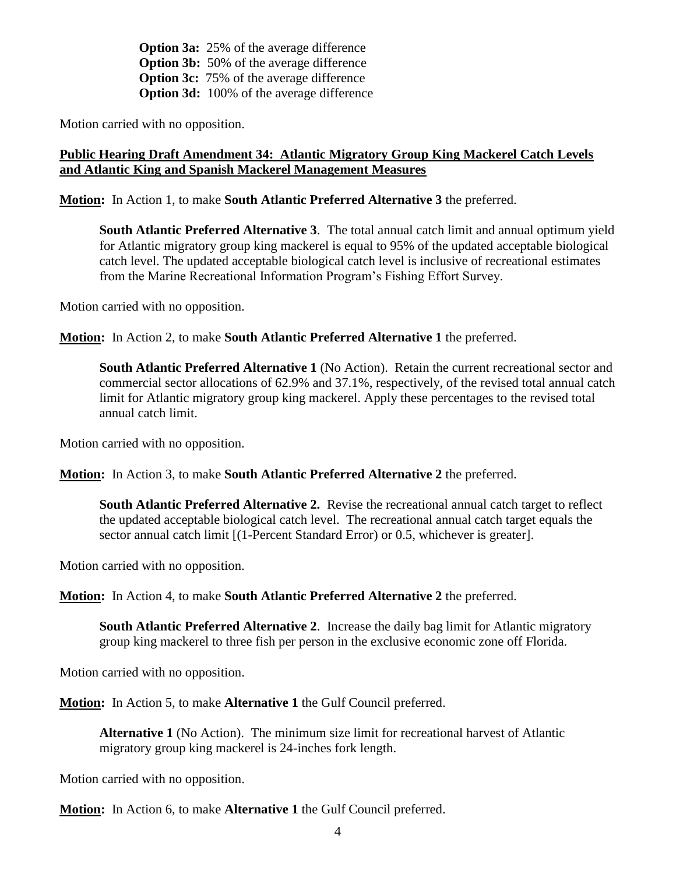**Option 3a:** 25% of the average difference **Option 3b:** 50% of the average difference **Option 3c:** 75% of the average difference **Option 3d:** 100% of the average difference

Motion carried with no opposition.

# **Public Hearing Draft Amendment 34: Atlantic Migratory Group King Mackerel Catch Levels and Atlantic King and Spanish Mackerel Management Measures**

**Motion:** In Action 1, to make **South Atlantic Preferred Alternative 3** the preferred.

**South Atlantic Preferred Alternative 3**. The total annual catch limit and annual optimum yield for Atlantic migratory group king mackerel is equal to 95% of the updated acceptable biological catch level. The updated acceptable biological catch level is inclusive of recreational estimates from the Marine Recreational Information Program's Fishing Effort Survey.

Motion carried with no opposition.

**Motion:** In Action 2, to make **South Atlantic Preferred Alternative 1** the preferred.

**South Atlantic Preferred Alternative 1** (No Action). Retain the current recreational sector and commercial sector allocations of 62.9% and 37.1%, respectively, of the revised total annual catch limit for Atlantic migratory group king mackerel. Apply these percentages to the revised total annual catch limit.

Motion carried with no opposition.

**Motion:** In Action 3, to make **South Atlantic Preferred Alternative 2** the preferred.

**South Atlantic Preferred Alternative 2.** Revise the recreational annual catch target to reflect the updated acceptable biological catch level. The recreational annual catch target equals the sector annual catch limit [(1-Percent Standard Error) or 0.5, whichever is greater].

Motion carried with no opposition.

**Motion:** In Action 4, to make **South Atlantic Preferred Alternative 2** the preferred.

**South Atlantic Preferred Alternative 2**. Increase the daily bag limit for Atlantic migratory group king mackerel to three fish per person in the exclusive economic zone off Florida.

Motion carried with no opposition.

**Motion:** In Action 5, to make **Alternative 1** the Gulf Council preferred.

**Alternative 1** (No Action). The minimum size limit for recreational harvest of Atlantic migratory group king mackerel is 24-inches fork length.

Motion carried with no opposition.

**Motion:** In Action 6, to make **Alternative 1** the Gulf Council preferred.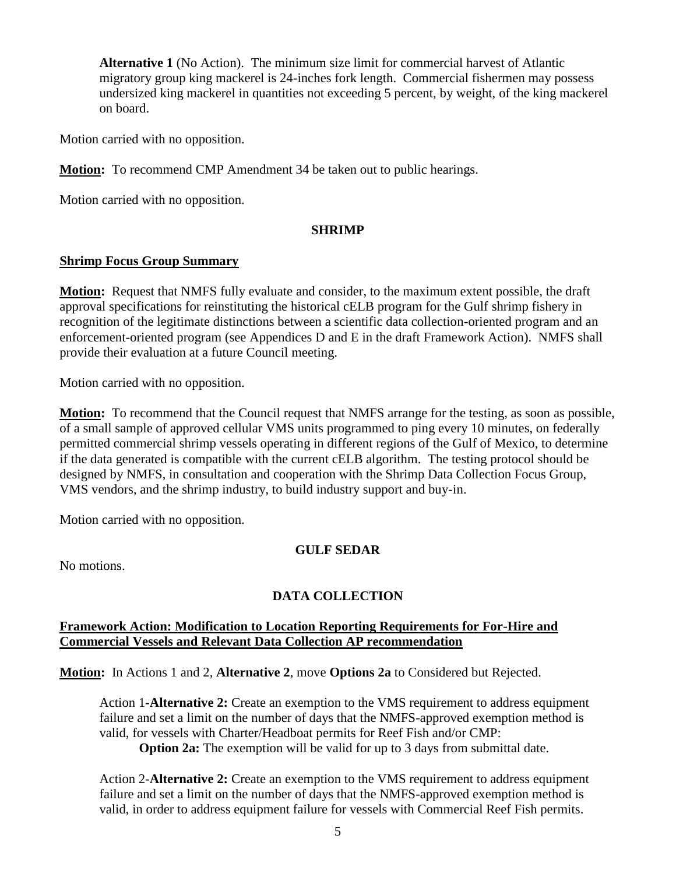**Alternative 1** (No Action). The minimum size limit for commercial harvest of Atlantic migratory group king mackerel is 24-inches fork length. Commercial fishermen may possess undersized king mackerel in quantities not exceeding 5 percent, by weight, of the king mackerel on board.

Motion carried with no opposition.

**Motion:** To recommend CMP Amendment 34 be taken out to public hearings.

Motion carried with no opposition.

#### **SHRIMP**

#### **Shrimp Focus Group Summary**

**Motion:** Request that NMFS fully evaluate and consider, to the maximum extent possible, the draft approval specifications for reinstituting the historical cELB program for the Gulf shrimp fishery in recognition of the legitimate distinctions between a scientific data collection-oriented program and an enforcement-oriented program (see Appendices D and E in the draft Framework Action). NMFS shall provide their evaluation at a future Council meeting.

Motion carried with no opposition.

**Motion:** To recommend that the Council request that NMFS arrange for the testing, as soon as possible, of a small sample of approved cellular VMS units programmed to ping every 10 minutes, on federally permitted commercial shrimp vessels operating in different regions of the Gulf of Mexico, to determine if the data generated is compatible with the current cELB algorithm. The testing protocol should be designed by NMFS, in consultation and cooperation with the Shrimp Data Collection Focus Group, VMS vendors, and the shrimp industry, to build industry support and buy-in.

Motion carried with no opposition.

# **GULF SEDAR**

No motions.

# **DATA COLLECTION**

#### **Framework Action: Modification to Location Reporting Requirements for For-Hire and Commercial Vessels and Relevant Data Collection AP recommendation**

**Motion:** In Actions 1 and 2, **Alternative 2**, move **Options 2a** to Considered but Rejected.

Action 1**-Alternative 2:** Create an exemption to the VMS requirement to address equipment failure and set a limit on the number of days that the NMFS-approved exemption method is valid, for vessels with Charter/Headboat permits for Reef Fish and/or CMP:

**Option 2a:** The exemption will be valid for up to 3 days from submittal date.

Action 2-**Alternative 2:** Create an exemption to the VMS requirement to address equipment failure and set a limit on the number of days that the NMFS-approved exemption method is valid, in order to address equipment failure for vessels with Commercial Reef Fish permits.